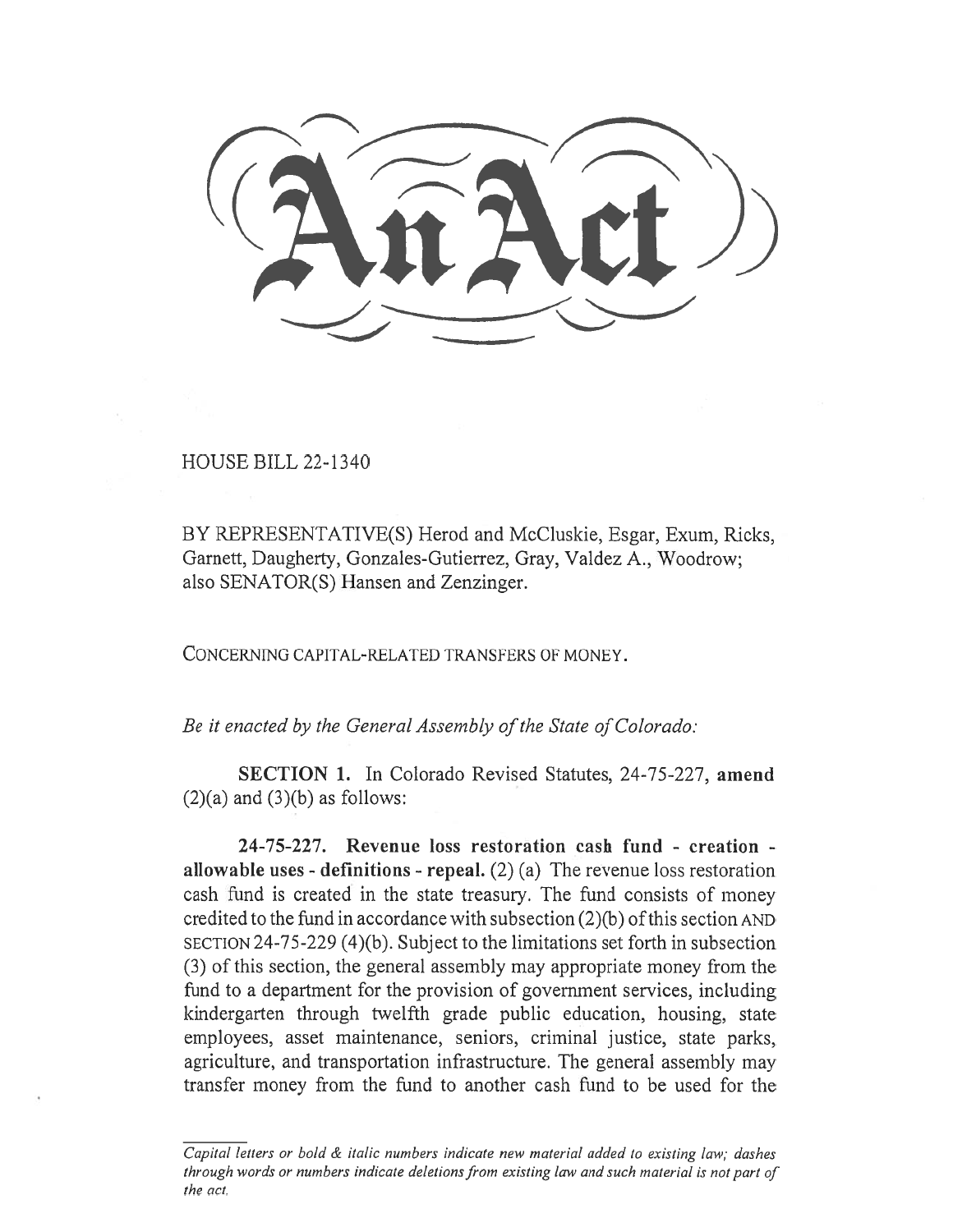HOUSE BILL 22-1340

BY REPRESENTATIVE(S) Herod and McCluskie, Esgar, Exum, Ricks, Garnett, Daugherty, Gonzales-Gutierrez, Gray, Valdez A., Woodrow; also SENATOR(S) Hansen and Zenzinger.

CONCERNING CAPITAL-RELATED TRANSFERS OF MONEY.

Be it enacted by the General Assembly of the State of Colorado:

SECTION 1. In Colorado Revised Statutes, 24-75-227, amend  $(2)(a)$  and  $(3)(b)$  as follows:

24-75-227. Revenue loss restoration cash fund - creation allowable uses - definitions - repeal.  $(2)$  (a) The revenue loss restoration cash fund is created in the state treasury. The fund consists of money credited to the fund in accordance with subsection (2)(b) of this section AND SECTION 24-75-229 (4)(b). Subject to the limitations set forth in subsection (3) of this section, the general assembly may appropriate money from the fund to a department for the provision of government services, including kindergarten through twelfth grade public education, housing, state employees, asset maintenance, seniors, criminal justice, state parks, agriculture, and transportation infrastructure. The general assembly may transfer money from the fund to another cash fund to be used for the

Capital letters or bold & italic numbers indicate new material added to existing law; dashes through words or numbers indicate deletions from existing law and such material is not part of the act.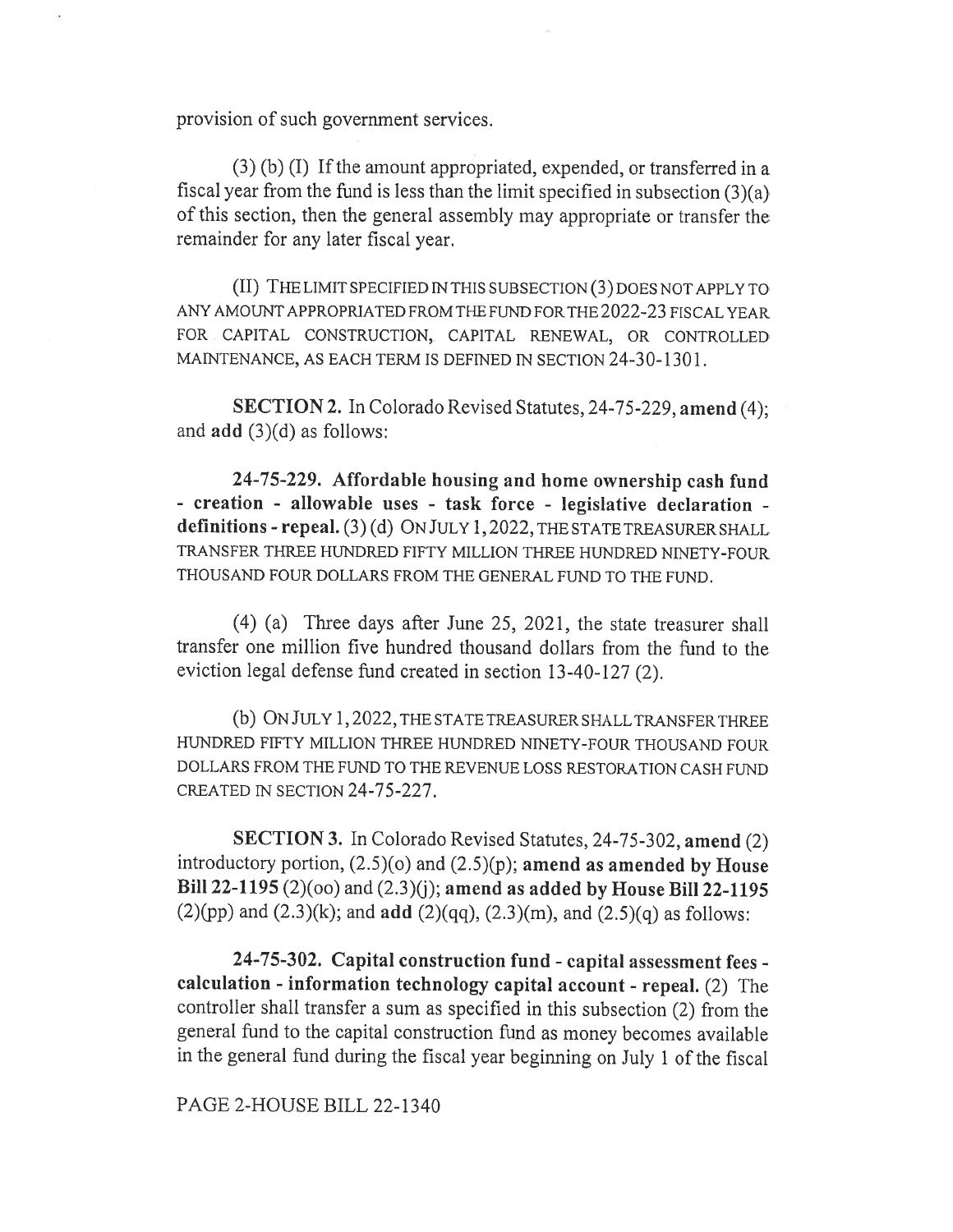provision of such government services.

(3) (b) (I) If the amount appropriated, expended, or transferred in a fiscal year from the fund is less than the limit specified in subsection (3)(a) of this section, then the general assembly may appropriate or transfer the remainder for any later fiscal year.

(II) THE LIMIT SPECIFIED IN THIS SUBSECTION (3) DOES NOT APPLY TO ANY AMOUNT APPROPRIATED FROM THE FUND FOR THE 2022-23 FISCAL YEAR FOR CAPITAL CONSTRUCTION, CAPITAL RENEWAL, OR CONTROLLED MAINTENANCE, AS EACH TERM IS DEFINED IN SECTION 24-30-1301.

SECTION 2. In Colorado Revised Statutes, 24-75-229, amend (4); and add (3)(d) as follows:

24-75-229. Affordable housing and home ownership cash fund - creation - allowable uses - task force - legislative declaration definitions - repeal. (3) (d) ON JULY 1, 2022, THE STATE TREASURER SHALL TRANSFER THREE HUNDRED FIFTY MILLION THREE HUNDRED NINETY-FOUR THOUSAND FOUR DOLLARS FROM THE GENERAL FUND TO THE FUND.

(4) (a) Three days after June 25, 2021, the state treasurer shall transfer one million five hundred thousand dollars from the fund to the eviction legal defense fund created in section 13-40-127 (2).

(b) ON JULY 1, 2022, THE STATE TREASURER SHALL TRANSFER THREE HUNDRED FIFTY MILLION THREE HUNDRED NINETY-FOUR THOUSAND FOUR DOLLARS FROM THE FUND TO THE REVENUE LOSS RESTORATION CASH FUND CREATED IN SECTION 24-75-227.

SECTION 3. In Colorado Revised Statutes, 24-75-302, amend (2) introductory portion,  $(2.5)(o)$  and  $(2.5)(p)$ ; amend as amended by House Bill 22-1195 (2)(oo) and (2.3)(j); amend as added by House Bill 22-1195  $(2)(pp)$  and  $(2.3)(k)$ ; and **add**  $(2)(qq)$ ,  $(2.3)(m)$ , and  $(2.5)(q)$  as follows:

24-75-302. Capital construction fund - capital assessment fees calculation - information technology capital account - repeal. (2) The controller shall transfer a sum as specified in this subsection (2) from the general fund to the capital construction fund as money becomes available in the general fund during the fiscal year beginning on July 1 of the fiscal

PAGE 2-HOUSE BILL 22-1340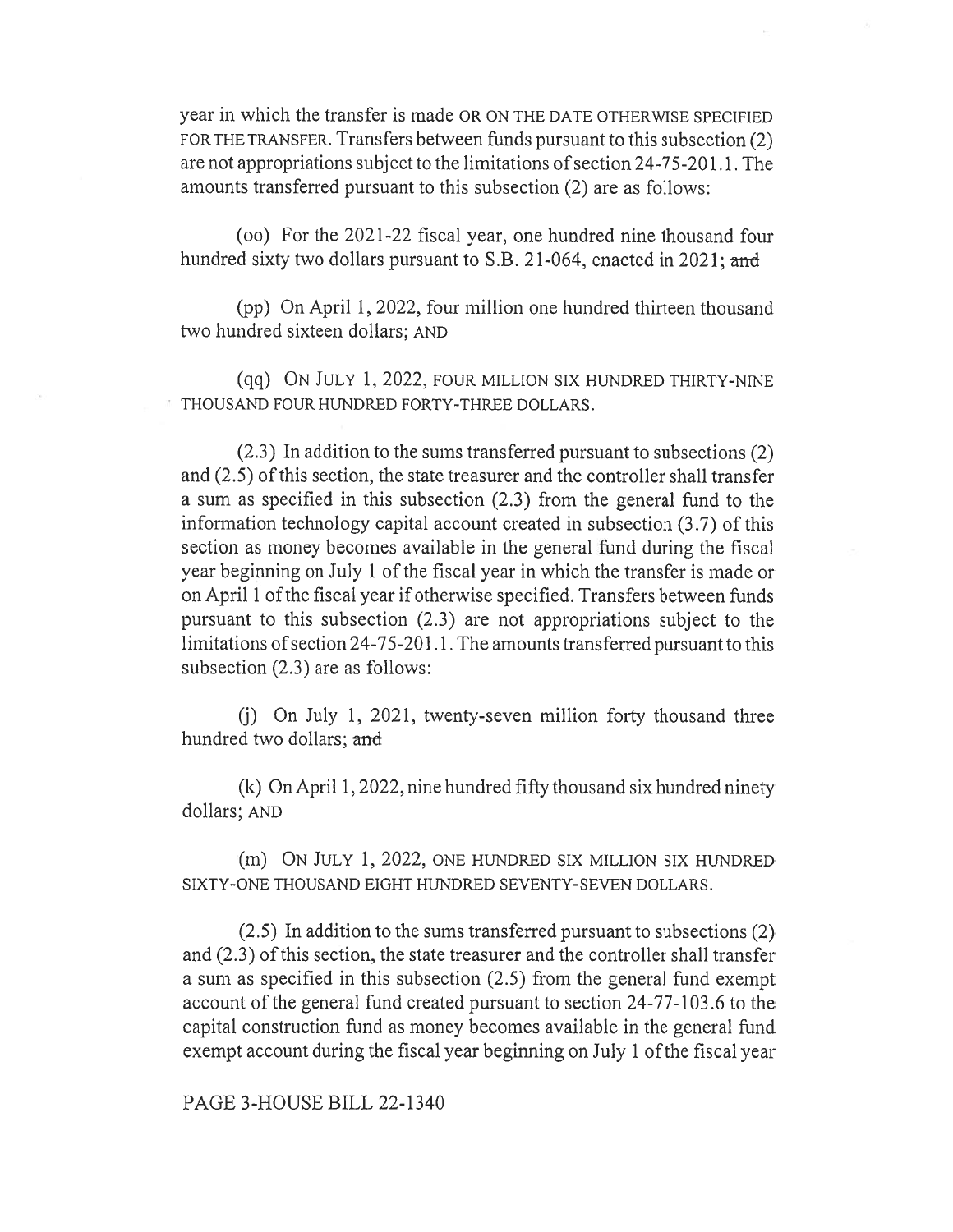year in which the transfer is made OR ON THE DATE OTHERWISE SPECIFIED FOR THE TRANSFER. Transfers between funds pursuant to this subsection (2) are not appropriations subject to the limitations of section 24-75-201.1. The amounts transferred pursuant to this subsection (2) are as follows:

(oo) For the 2021-22 fiscal year, one hundred nine thousand four hundred sixty two dollars pursuant to S.B. 21-064, enacted in 2021; and

(pp) On April 1, 2022, four million one hundred thirteen thousand two hundred sixteen dollars; AND

(qq) ON JULY 1, 2022, FOUR MILLION SIX HUNDRED THIRTY-NINE THOUSAND FOUR HUNDRED FORTY-THREE DOLLARS.

(2.3) In addition to the sums transferred pursuant to subsections (2) and (2.5) of this section, the state treasurer and the controller shall transfer a sum as specified in this subsection (2.3) from the general fund to the information technology capital account created in subsection (3.7) of this section as money becomes available in the general fund during the fiscal year beginning on July 1 of the fiscal year in which the transfer is made or on April 1 of the fiscal year if otherwise specified. Transfers between funds pursuant to this subsection (2.3) are not appropriations subject to the limitations of section 24-75-201.1. The amounts transferred pursuant to this subsection (2.3) are as follows:

(j) On July 1, 2021, twenty-seven million forty thousand three hundred two dollars; and

(k) On April 1, 2022, nine hundred fifty thousand six hundred ninety dollars; AND

(m) ON JULY 1, 2022, ONE HUNDRED SIX MILLION SIX HUNDRED SIXTY-ONE THOUSAND EIGHT HUNDRED SEVENTY-SEVEN DOLLARS.

(2.5) In addition to the sums transferred pursuant to subsections (2) and (2.3) of this section, the state treasurer and the controller shall transfer a sum as specified in this subsection (2.5) from the general fund exempt account of the general fund created pursuant to section 24-77-103.6 to the capital construction fund as money becomes available in the general fund exempt account during the fiscal year beginning on July 1 of the fiscal year

PAGE 3-HOUSE BILL 22-1340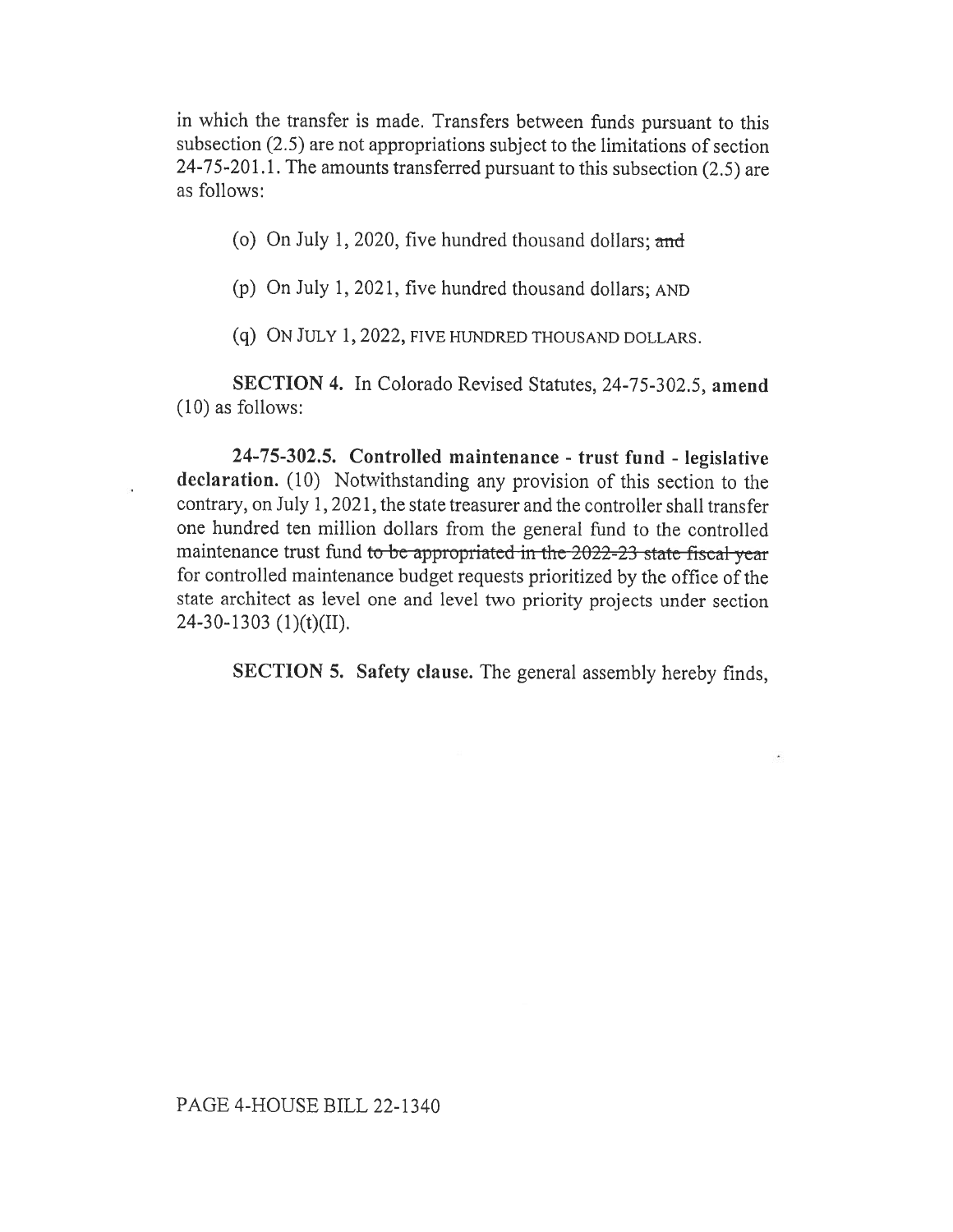in which the transfer is made. Transfers between funds pursuant to this subsection (2.5) are not appropriations subject to the limitations of section 24-75-201.1. The amounts transferred pursuant to this subsection (2.5) are as follows:

(o) On July 1, 2020, five hundred thousand dollars; and

(p) On July 1, 2021, five hundred thousand dollars; AND

(q) ON JULY 1, 2022, FIVE HUNDRED THOUSAND DOLLARS.

SECTION 4. In Colorado Revised Statutes, 24-75-302.5, amend (10) as follows:

24-75-302.5. Controlled maintenance - trust fund - legislative declaration. (10) Notwithstanding any provision of this section to the contrary, on July 1, 2021, the state treasurer and the controller shall transfer one hundred ten million dollars from the general fund to the controlled maintenance trust fund to be appropriated in the 2022-23 state fiscal year for controlled maintenance budget requests prioritized by the office of the state architect as level one and level two priority projects under section 24-30-1303 (1)(t)(II).

SECTION 5. Safety clause. The general assembly hereby finds,